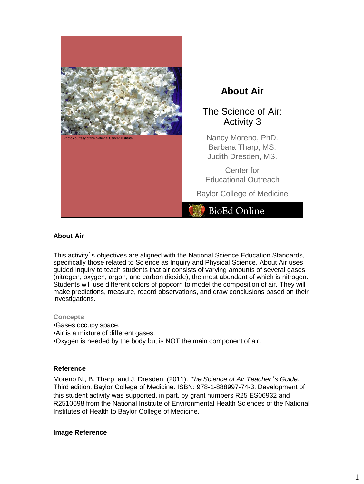

# **About Air**

# The Science of Air: Activity 3

Nancy Moreno, PhD. Barbara Tharp, MS. Judith Dresden, MS.

Center for Educational Outreach

Baylor College of Medicine

# BioEd Online

### **About Air**

This activity's objectives are aligned with the National Science Education Standards, specifically those related to Science as Inquiry and Physical Science. About Air uses guided inquiry to teach students that air consists of varying amounts of several gases (nitrogen, oxygen, argon, and carbon dioxide), the most abundant of which is nitrogen. Students will use different colors of popcorn to model the composition of air. They will make predictions, measure, record observations, and draw conclusions based on their investigations.

#### **Concepts**

- •Gases occupy space.
- •Air is a mixture of different gases.
- •Oxygen is needed by the body but is NOT the main component of air.

### **Reference**

Moreno N., B. Tharp, and J. Dresden. (2011). *The Science of Air Teacher*'*s Guide.* Third edition. Baylor College of Medicine. ISBN: 978-1-888997-74-3. Development of this student activity was supported, in part, by grant numbers R25 ES06932 and R2510698 from the National Institute of Environmental Health Sciences of the National Institutes of Health to Baylor College of Medicine.

#### **Image Reference**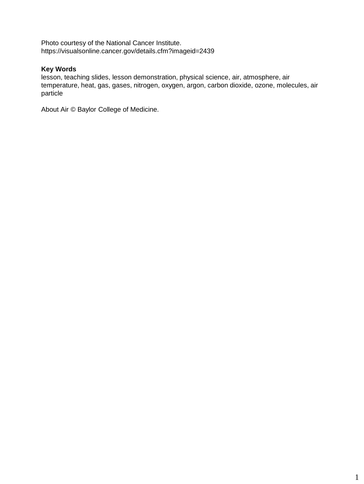Photo courtesy of the National Cancer Institute. https://visualsonline.cancer.gov/details.cfm?imageid=2439

# **Key Words**

lesson, teaching slides, lesson demonstration, physical science, air, atmosphere, air temperature, heat, gas, gases, nitrogen, oxygen, argon, carbon dioxide, ozone, molecules, air particle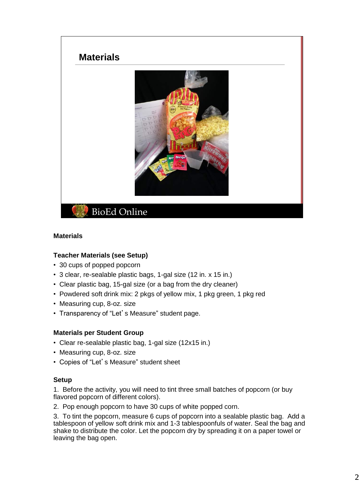

### **Materials**

### **Teacher Materials (see Setup)**

- 30 cups of popped popcorn
- 3 clear, re-sealable plastic bags, 1-gal size (12 in. x 15 in.)
- Clear plastic bag, 15-gal size (or a bag from the dry cleaner)
- Powdered soft drink mix: 2 pkgs of yellow mix, 1 pkg green, 1 pkg red
- Measuring cup, 8-oz. size
- Transparency of "Let's Measure" student page.

### **Materials per Student Group**

- Clear re-sealable plastic bag, 1-gal size (12x15 in.)
- Measuring cup, 8-oz. size
- Copies of "Let's Measure" student sheet

### **Setup**

1. Before the activity, you will need to tint three small batches of popcorn (or buy flavored popcorn of different colors).

2. Pop enough popcorn to have 30 cups of white popped corn.

3. To tint the popcorn, measure 6 cups of popcorn into a sealable plastic bag. Add a tablespoon of yellow soft drink mix and 1-3 tablespoonfuls of water. Seal the bag and shake to distribute the color. Let the popcorn dry by spreading it on a paper towel or leaving the bag open.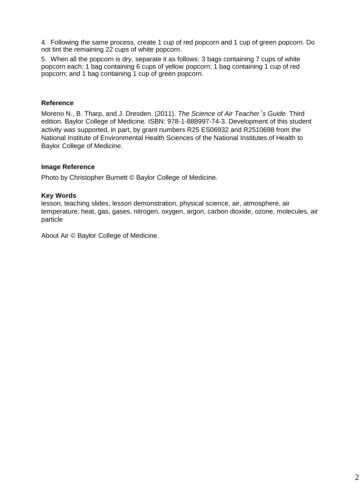4. Following the same process, create 1 cup of red popcorn and 1 cup of green popcorn. Do not tint the remaining 22 cups of white popcorn.

5. When all the popcorn is dry, separate it as follows: 3 bags containing 7 cups of white popcorn each; 1 bag containing 6 cups of yellow popcorn; 1 bag containing 1 cup of red popcorn; and 1 bag containing 1 cup of green popcorn.

### **Reference**

Moreno N., B. Tharp, and J. Dresden. (2011). *The Science of Air Teacher*'*s Guide.* Third edition. Baylor College of Medicine. ISBN: 978-1-888997-74-3. Development of this student activity was supported, in part, by grant numbers R25 ES06932 and R2510698 from the National Institute of Environmental Health Sciences of the National Institutes of Health to Baylor College of Medicine.

#### **Image Reference**

Photo by Christopher Burnett © Baylor College of Medicine.

#### **Key Words**

lesson, teaching slides, lesson demonstration, physical science, air, atmosphere, air temperature, heat, gas, gases, nitrogen, oxygen, argon, carbon dioxide, ozone, molecules, air particle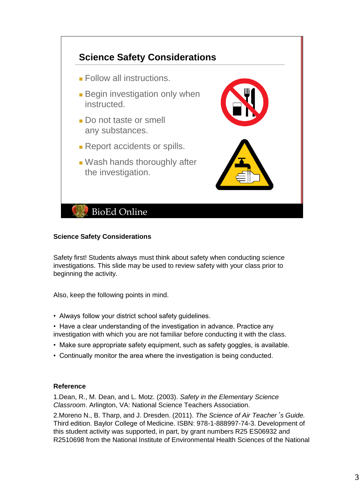

### **Science Safety Considerations**

Safety first! Students always must think about safety when conducting science investigations. This slide may be used to review safety with your class prior to beginning the activity.

Also, keep the following points in mind.

- Always follow your district school safety guidelines.
- Have a clear understanding of the investigation in advance. Practice any investigation with which you are not familiar before conducting it with the class.
- Make sure appropriate safety equipment, such as safety goggles, is available.
- Continually monitor the area where the investigation is being conducted.

### **Reference**

1.Dean, R., M. Dean, and L. Motz. (2003). *Safety in the Elementary Science Classroom*. Arlington, VA: National Science Teachers Association.

2.Moreno N., B. Tharp, and J. Dresden. (2011). *The Science of Air Teacher*'*s Guide.* Third edition. Baylor College of Medicine. ISBN: 978-1-888997-74-3. Development of this student activity was supported, in part, by grant numbers R25 ES06932 and R2510698 from the National Institute of Environmental Health Sciences of the National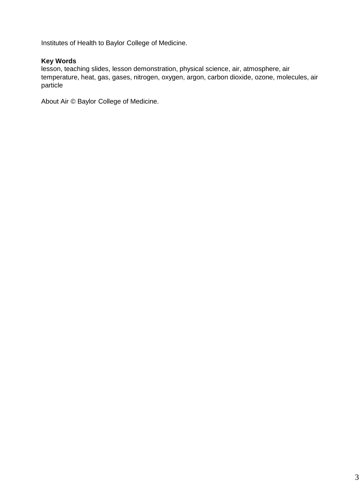Institutes of Health to Baylor College of Medicine.

## **Key Words**

lesson, teaching slides, lesson demonstration, physical science, air, atmosphere, air temperature, heat, gas, gases, nitrogen, oxygen, argon, carbon dioxide, ozone, molecules, air particle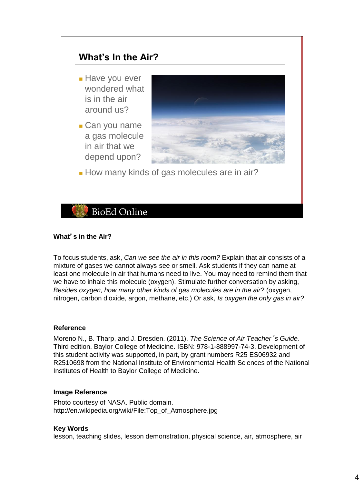

## **What**'**s in the Air?**

To focus students, ask, *Can we see the air in this room?* Explain that air consists of a mixture of gases we cannot always see or smell. Ask students if they can name at least one molecule in air that humans need to live. You may need to remind them that we have to inhale this molecule (oxygen). Stimulate further conversation by asking, *Besides oxygen, how many other kinds of gas molecules are in the air?* (oxygen, nitrogen, carbon dioxide, argon, methane, etc.) Or ask, *Is oxygen the only gas in air?*

### **Reference**

Moreno N., B. Tharp, and J. Dresden. (2011). *The Science of Air Teacher*'*s Guide.* Third edition. Baylor College of Medicine. ISBN: 978-1-888997-74-3. Development of this student activity was supported, in part, by grant numbers R25 ES06932 and R2510698 from the National Institute of Environmental Health Sciences of the National Institutes of Health to Baylor College of Medicine.

#### **Image Reference**

Photo courtesy of NASA. Public domain. http://en.wikipedia.org/wiki/File:Top\_of\_Atmosphere.jpg

### **Key Words**

lesson, teaching slides, lesson demonstration, physical science, air, atmosphere, air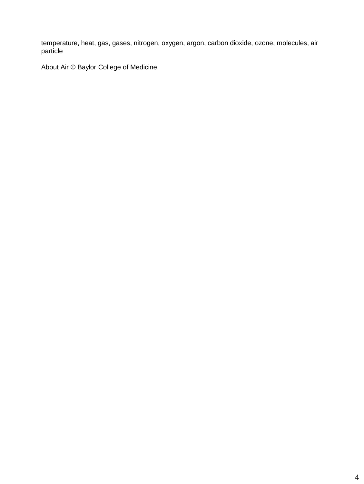temperature, heat, gas, gases, nitrogen, oxygen, argon, carbon dioxide, ozone, molecules, air particle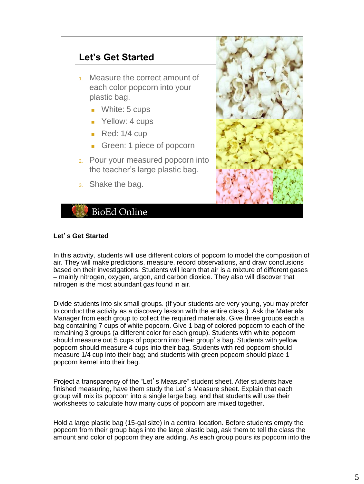

## **Let**'**s Get Started**

In this activity, students will use different colors of popcorn to model the composition of air. They will make predictions, measure, record observations, and draw conclusions based on their investigations. Students will learn that air is a mixture of different gases – mainly nitrogen, oxygen, argon, and carbon dioxide. They also will discover that nitrogen is the most abundant gas found in air.

Divide students into six small groups. (If your students are very young, you may prefer to conduct the activity as a discovery lesson with the entire class.) Ask the Materials Manager from each group to collect the required materials. Give three groups each a bag containing 7 cups of white popcorn. Give 1 bag of colored popcorn to each of the remaining 3 groups (a different color for each group). Students with white popcorn should measure out 5 cups of popcorn into their group's bag. Students with yellow popcorn should measure 4 cups into their bag. Students with red popcorn should measure 1/4 cup into their bag; and students with green popcorn should place 1 popcorn kernel into their bag.

Project a transparency of the "Let's Measure" student sheet. After students have finished measuring, have them study the Let's Measure sheet. Explain that each group will mix its popcorn into a single large bag, and that students will use their worksheets to calculate how many cups of popcorn are mixed together.

Hold a large plastic bag (15-gal size) in a central location. Before students empty the popcorn from their group bags into the large plastic bag, ask them to tell the class the amount and color of popcorn they are adding. As each group pours its popcorn into the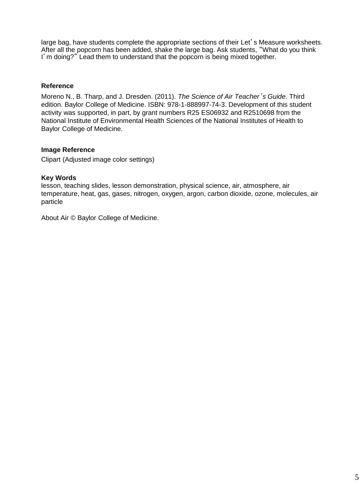large bag, have students complete the appropriate sections of their Let's Measure worksheets. After all the popcorn has been added, shake the large bag. Ask students, "What do you think I'm doing?" Lead them to understand that the popcorn is being mixed together.

# **Reference**

Moreno N., B. Tharp, and J. Dresden. (2011). *The Science of Air Teacher*'*s Guide.* Third edition. Baylor College of Medicine. ISBN: 978-1-888997-74-3. Development of this student activity was supported, in part, by grant numbers R25 ES06932 and R2510698 from the National Institute of Environmental Health Sciences of the National Institutes of Health to Baylor College of Medicine.

## **Image Reference**

Clipart (Adjusted image color settings)

## **Key Words**

lesson, teaching slides, lesson demonstration, physical science, air, atmosphere, air temperature, heat, gas, gases, nitrogen, oxygen, argon, carbon dioxide, ozone, molecules, air particle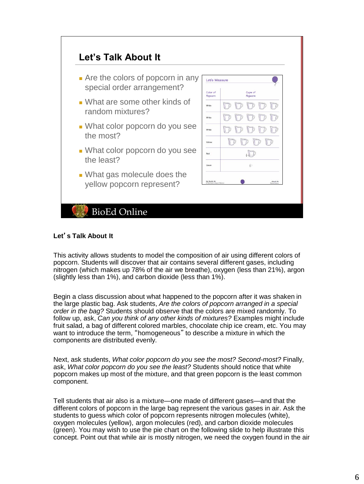

#### **Let**'**s Talk About It**

This activity allows students to model the composition of air using different colors of popcorn. Students will discover that air contains several different gases, including nitrogen (which makes up 78% of the air we breathe), oxygen (less than 21%), argon (slightly less than 1%), and carbon dioxide (less than 1%).

Begin a class discussion about what happened to the popcorn after it was shaken in the large plastic bag. Ask students, *Are the colors of popcorn arranged in a special order in the bag?* Students should observe that the colors are mixed randomly. To follow up, ask, *Can you think of any other kinds of mixtures?* Examples might include fruit salad, a bag of different colored marbles, chocolate chip ice cream, etc. You may want to introduce the term, "homogeneous" to describe a mixture in which the components are distributed evenly.

Next, ask students, *What color popcorn do you see the most? Second-most?* Finally, ask, *What color popcorn do you see the least?* Students should notice that white popcorn makes up most of the mixture, and that green popcorn is the least common component.

Tell students that air also is a mixture—one made of different gases—and that the different colors of popcorn in the large bag represent the various gases in air. Ask the students to guess which color of popcorn represents nitrogen molecules (white), oxygen molecules (yellow), argon molecules (red), and carbon dioxide molecules (green). You may wish to use the pie chart on the following slide to help illustrate this concept. Point out that while air is mostly nitrogen, we need the oxygen found in the air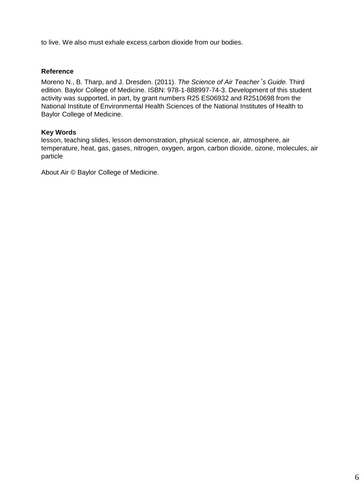to live. We also must exhale excess carbon dioxide from our bodies.

### **Reference**

Moreno N., B. Tharp, and J. Dresden. (2011). *The Science of Air Teacher*'*s Guide.* Third edition. Baylor College of Medicine. ISBN: 978-1-888997-74-3. Development of this student activity was supported, in part, by grant numbers R25 ES06932 and R2510698 from the National Institute of Environmental Health Sciences of the National Institutes of Health to Baylor College of Medicine.

### **Key Words**

lesson, teaching slides, lesson demonstration, physical science, air, atmosphere, air temperature, heat, gas, gases, nitrogen, oxygen, argon, carbon dioxide, ozone, molecules, air particle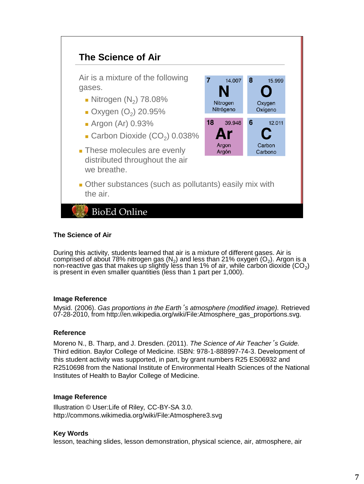

### **The Science of Air**

During this activity, students learned that air is a mixture of different gases. Air is comprised of about 78% nitrogen gas (N<sub>2</sub>) and less than 21% oxygen (O<sub>2</sub>). Argon is a non-reactive gas that makes up slightly less than 1% of air, while carbon dioxide (CO<sub>2</sub>) is present in even smaller quantities (less than 1 part per 1,000).

### **Image Reference**

Mysid. (2006). *Gas proportions in the Earth*'*s atmosphere (modified image).* Retrieved 07-28-2010, from http://en.wikipedia.org/wiki/File:Atmosphere\_gas\_proportions.svg.

### **Reference**

Moreno N., B. Tharp, and J. Dresden. (2011). *The Science of Air Teacher*'*s Guide.* Third edition. Baylor College of Medicine. ISBN: 978-1-888997-74-3. Development of this student activity was supported, in part, by grant numbers R25 ES06932 and R2510698 from the National Institute of Environmental Health Sciences of the National Institutes of Health to Baylor College of Medicine.

#### **Image Reference**

Illustration © User:Life of Riley, CC-BY-SA 3.0. http://commons.wikimedia.org/wiki/File:Atmosphere3.svg

### **Key Words**

lesson, teaching slides, lesson demonstration, physical science, air, atmosphere, air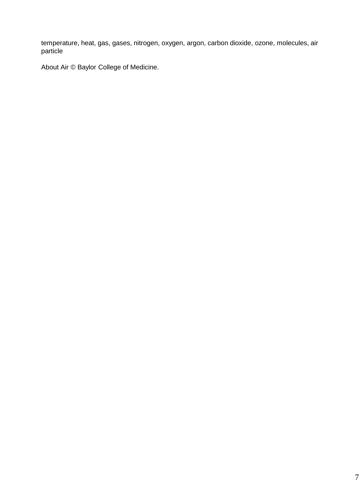temperature, heat, gas, gases, nitrogen, oxygen, argon, carbon dioxide, ozone, molecules, air particle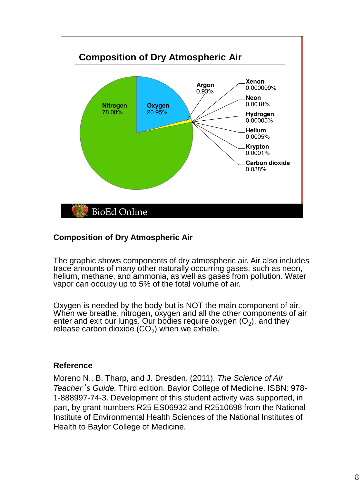

# **Composition of Dry Atmospheric Air**

The graphic shows components of dry atmospheric air. Air also includes trace amounts of many other naturally occurring gases, such as neon, helium, methane, and ammonia, as well as gases from pollution. Water vapor can occupy up to 5% of the total volume of air.

Oxygen is needed by the body but is NOT the main component of air. When we breathe, nitrogen, oxygen and all the other components of air enter and exit our lungs. Our bodies require oxygen  $(O_2)$ , and they release carbon dioxide (CO $_2$ ) when we exhale. $\check{ }$ 

# **Reference**

Moreno N., B. Tharp, and J. Dresden. (2011). *The Science of Air Teacher*'*s Guide.* Third edition. Baylor College of Medicine. ISBN: 978- 1-888997-74-3. Development of this student activity was supported, in part, by grant numbers R25 ES06932 and R2510698 from the National Institute of Environmental Health Sciences of the National Institutes of Health to Baylor College of Medicine.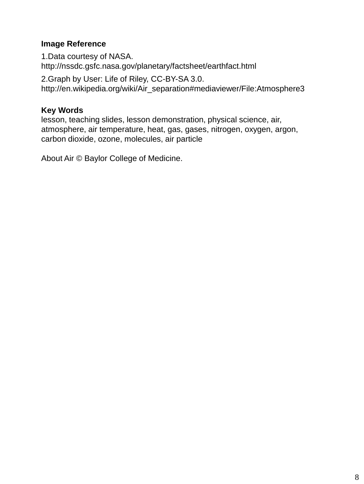# **Image Reference**

1.Data courtesy of NASA. http://nssdc.gsfc.nasa.gov/planetary/factsheet/earthfact.html

2.Graph by User: Life of Riley, CC-BY-SA 3.0. http://en.wikipedia.org/wiki/Air\_separation#mediaviewer/File:Atmosphere3

# **Key Words**

lesson, teaching slides, lesson demonstration, physical science, air, atmosphere, air temperature, heat, gas, gases, nitrogen, oxygen, argon, carbon dioxide, ozone, molecules, air particle